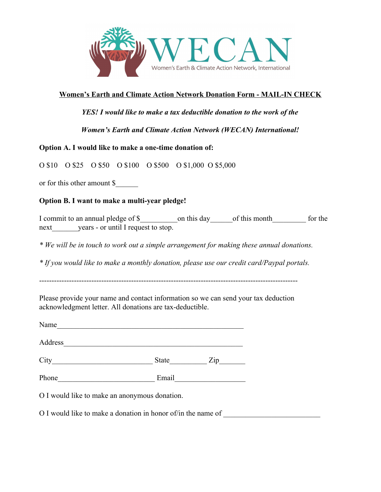

## **Women's Earth and Climate Action Network Donation Form - MAIL-IN CHECK**

*YES! I would like to make a tax deductible donation to the work of the*

*Women's Earth and Climate Action Network (WECAN) International!*

## **Option A. I would like to make a one-time donation of:**

O \$10 O \$25 O \$50 O \$100 O \$500 O \$1,000 O \$5,000

or for this other amount \$\_\_\_\_\_\_

## **Option B. I want to make a multi-year pledge!**

I commit to an annual pledge of \$ commit to an annual pledge of \$ commit is day being this month next years - or until I request to stop.

*\* We will be in touch to work out a simple arrangement for making these annual donations.*

*\* If you would like to make a monthly donation, please use our credit card/Paypal portals.*

--------------------------------------------------------------------------------------------------------

Please provide your name and contact information so we can send your tax deduction acknowledgment letter. All donations are tax-deductible.

| Address |       |                             |
|---------|-------|-----------------------------|
|         | State | $\mathsf{Zip}\_\_\_\_\_\_\$ |
| Phone   | Email |                             |

O I would like to make a donation in honor of/in the name of